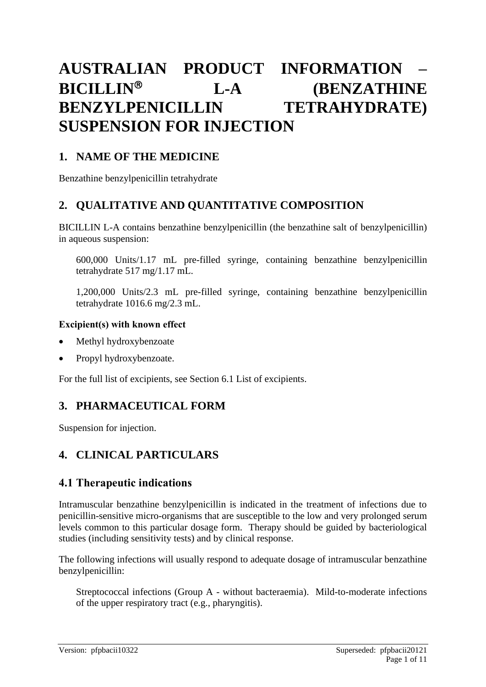# **AUSTRALIAN PRODUCT INFORMATION – BICILLIN<sup>®</sup> L-A** (BENZATHINE **BENZYLPENICILLIN TETRAHYDRATE) SUSPENSION FOR INJECTION**

# **1. NAME OF THE MEDICINE**

Benzathine benzylpenicillin tetrahydrate

# **2. QUALITATIVE AND QUANTITATIVE COMPOSITION**

BICILLIN L-A contains benzathine benzylpenicillin (the benzathine salt of benzylpenicillin) in aqueous suspension:

600,000 Units/1.17 mL pre-filled syringe, containing benzathine benzylpenicillin tetrahydrate 517 mg/1.17 mL.

1,200,000 Units/2.3 mL pre-filled syringe, containing benzathine benzylpenicillin tetrahydrate 1016.6 mg/2.3 mL.

#### **Excipient(s) with known effect**

- Methyl hydroxybenzoate
- Propyl hydroxybenzoate.

For the full list of excipients, see Section 6.1 List of excipients.

# **3. PHARMACEUTICAL FORM**

Suspension for injection.

# **4. CLINICAL PARTICULARS**

# **4.1 Therapeutic indications**

Intramuscular benzathine benzylpenicillin is indicated in the treatment of infections due to penicillin-sensitive micro-organisms that are susceptible to the low and very prolonged serum levels common to this particular dosage form. Therapy should be guided by bacteriological studies (including sensitivity tests) and by clinical response.

The following infections will usually respond to adequate dosage of intramuscular benzathine benzylpenicillin:

Streptococcal infections (Group A - without bacteraemia). Mild-to-moderate infections of the upper respiratory tract (e.g., pharyngitis).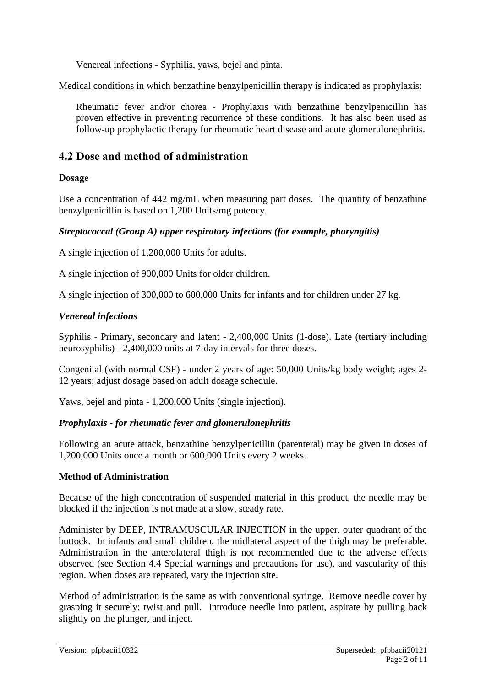Venereal infections - Syphilis, yaws, bejel and pinta.

Medical conditions in which benzathine benzylpenicillin therapy is indicated as prophylaxis:

Rheumatic fever and/or chorea - Prophylaxis with benzathine benzylpenicillin has proven effective in preventing recurrence of these conditions. It has also been used as follow-up prophylactic therapy for rheumatic heart disease and acute glomerulonephritis.

# **4.2 Dose and method of administration**

### **Dosage**

Use a concentration of 442 mg/mL when measuring part doses. The quantity of benzathine benzylpenicillin is based on 1,200 Units/mg potency.

#### *Streptococcal (Group A) upper respiratory infections (for example, pharyngitis)*

A single injection of 1,200,000 Units for adults.

A single injection of 900,000 Units for older children.

A single injection of 300,000 to 600,000 Units for infants and for children under 27 kg.

#### *Venereal infections*

Syphilis - Primary, secondary and latent - 2,400,000 Units (1-dose). Late (tertiary including neurosyphilis) - 2,400,000 units at 7-day intervals for three doses.

Congenital (with normal CSF) - under 2 years of age: 50,000 Units/kg body weight; ages 2- 12 years; adjust dosage based on adult dosage schedule.

Yaws, bejel and pinta - 1,200,000 Units (single injection).

### *Prophylaxis - for rheumatic fever and glomerulonephritis*

Following an acute attack, benzathine benzylpenicillin (parenteral) may be given in doses of 1,200,000 Units once a month or 600,000 Units every 2 weeks.

#### **Method of Administration**

Because of the high concentration of suspended material in this product, the needle may be blocked if the injection is not made at a slow, steady rate.

Administer by DEEP, INTRAMUSCULAR INJECTION in the upper, outer quadrant of the buttock. In infants and small children, the midlateral aspect of the thigh may be preferable. Administration in the anterolateral thigh is not recommended due to the adverse effects observed (see Section 4.4 Special warnings and precautions for use), and vascularity of this region. When doses are repeated, vary the injection site.

Method of administration is the same as with conventional syringe. Remove needle cover by grasping it securely; twist and pull. Introduce needle into patient, aspirate by pulling back slightly on the plunger, and inject.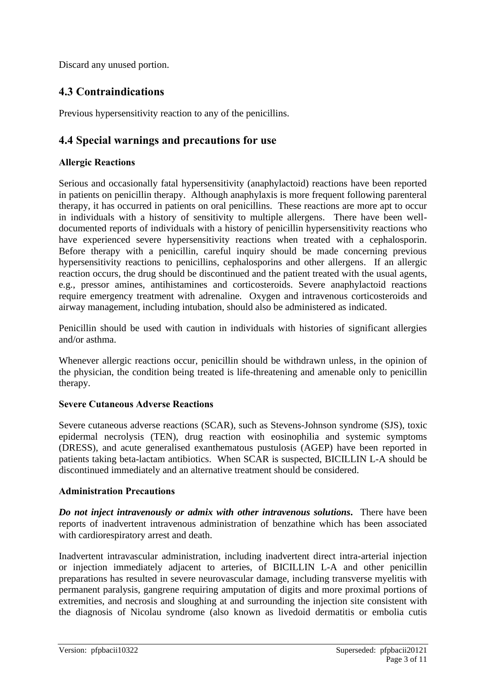Discard any unused portion.

# **4.3 Contraindications**

Previous hypersensitivity reaction to any of the penicillins.

# **4.4 Special warnings and precautions for use**

### **Allergic Reactions**

Serious and occasionally fatal hypersensitivity (anaphylactoid) reactions have been reported in patients on penicillin therapy. Although anaphylaxis is more frequent following parenteral therapy, it has occurred in patients on oral penicillins. These reactions are more apt to occur in individuals with a history of sensitivity to multiple allergens. There have been welldocumented reports of individuals with a history of penicillin hypersensitivity reactions who have experienced severe hypersensitivity reactions when treated with a cephalosporin. Before therapy with a penicillin, careful inquiry should be made concerning previous hypersensitivity reactions to penicillins, cephalosporins and other allergens. If an allergic reaction occurs, the drug should be discontinued and the patient treated with the usual agents, e.g., pressor amines, antihistamines and corticosteroids. Severe anaphylactoid reactions require emergency treatment with adrenaline. Oxygen and intravenous corticosteroids and airway management, including intubation, should also be administered as indicated.

Penicillin should be used with caution in individuals with histories of significant allergies and/or asthma.

Whenever allergic reactions occur, penicillin should be withdrawn unless, in the opinion of the physician, the condition being treated is life-threatening and amenable only to penicillin therapy.

### **Severe Cutaneous Adverse Reactions**

Severe cutaneous adverse reactions (SCAR), such as Stevens-Johnson syndrome (SJS), toxic epidermal necrolysis (TEN), drug reaction with eosinophilia and systemic symptoms (DRESS), and acute generalised exanthematous pustulosis (AGEP) have been reported in patients taking beta-lactam antibiotics. When SCAR is suspected, BICILLIN L-A should be discontinued immediately and an alternative treatment should be considered.

# **Administration Precautions**

*Do not inject intravenously or admix with other intravenous solutions***.** There have been reports of inadvertent intravenous administration of benzathine which has been associated with cardiorespiratory arrest and death.

Inadvertent intravascular administration, including inadvertent direct intra-arterial injection or injection immediately adjacent to arteries, of BICILLIN L-A and other penicillin preparations has resulted in severe neurovascular damage, including transverse myelitis with permanent paralysis, gangrene requiring amputation of digits and more proximal portions of extremities, and necrosis and sloughing at and surrounding the injection site consistent with the diagnosis of Nicolau syndrome (also known as livedoid dermatitis or embolia cutis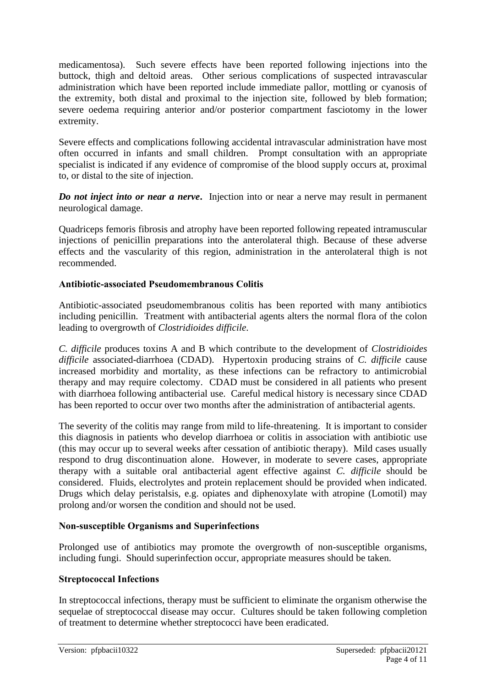medicamentosa). Such severe effects have been reported following injections into the buttock, thigh and deltoid areas. Other serious complications of suspected intravascular administration which have been reported include immediate pallor, mottling or cyanosis of the extremity, both distal and proximal to the injection site, followed by bleb formation; severe oedema requiring anterior and/or posterior compartment fasciotomy in the lower extremity.

Severe effects and complications following accidental intravascular administration have most often occurred in infants and small children. Prompt consultation with an appropriate specialist is indicated if any evidence of compromise of the blood supply occurs at, proximal to, or distal to the site of injection.

*Do not inject into or near a nerve***.** Injection into or near a nerve may result in permanent neurological damage.

Quadriceps femoris fibrosis and atrophy have been reported following repeated intramuscular injections of penicillin preparations into the anterolateral thigh. Because of these adverse effects and the vascularity of this region, administration in the anterolateral thigh is not recommended.

### **Antibiotic-associated Pseudomembranous Colitis**

Antibiotic-associated pseudomembranous colitis has been reported with many antibiotics including penicillin. Treatment with antibacterial agents alters the normal flora of the colon leading to overgrowth of *Clostridioides difficile*.

*C. difficile* produces toxins A and B which contribute to the development of *Clostridioides difficile* associated-diarrhoea (CDAD). Hypertoxin producing strains of *C. difficile* cause increased morbidity and mortality, as these infections can be refractory to antimicrobial therapy and may require colectomy. CDAD must be considered in all patients who present with diarrhoea following antibacterial use. Careful medical history is necessary since CDAD has been reported to occur over two months after the administration of antibacterial agents.

The severity of the colitis may range from mild to life-threatening. It is important to consider this diagnosis in patients who develop diarrhoea or colitis in association with antibiotic use (this may occur up to several weeks after cessation of antibiotic therapy). Mild cases usually respond to drug discontinuation alone. However, in moderate to severe cases, appropriate therapy with a suitable oral antibacterial agent effective against *C. difficile* should be considered. Fluids, electrolytes and protein replacement should be provided when indicated. Drugs which delay peristalsis, e.g. opiates and diphenoxylate with atropine (Lomotil) may prolong and/or worsen the condition and should not be used.

### **Non-susceptible Organisms and Superinfections**

Prolonged use of antibiotics may promote the overgrowth of non-susceptible organisms, including fungi. Should superinfection occur, appropriate measures should be taken.

### **Streptococcal Infections**

In streptococcal infections, therapy must be sufficient to eliminate the organism otherwise the sequelae of streptococcal disease may occur. Cultures should be taken following completion of treatment to determine whether streptococci have been eradicated.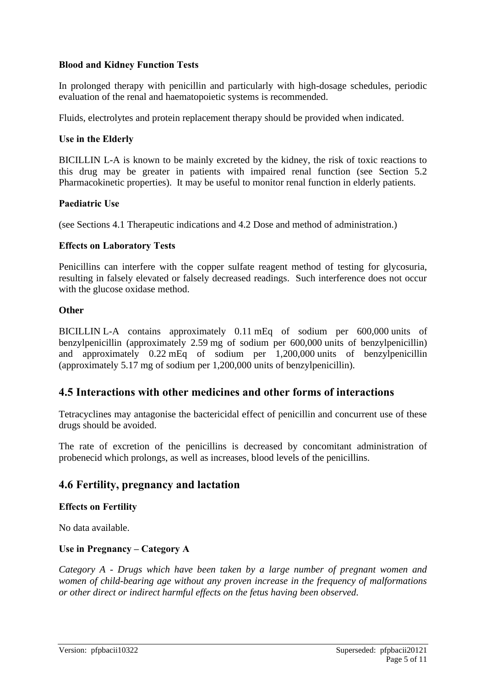#### **Blood and Kidney Function Tests**

In prolonged therapy with penicillin and particularly with high-dosage schedules, periodic evaluation of the renal and haematopoietic systems is recommended.

Fluids, electrolytes and protein replacement therapy should be provided when indicated.

#### **Use in the Elderly**

BICILLIN L-A is known to be mainly excreted by the kidney, the risk of toxic reactions to this drug may be greater in patients with impaired renal function (see Section 5.2 Pharmacokinetic properties). It may be useful to monitor renal function in elderly patients.

#### **Paediatric Use**

(see Sections 4.1 Therapeutic indications and 4.2 Dose and method of administration.)

#### **Effects on Laboratory Tests**

Penicillins can interfere with the copper sulfate reagent method of testing for glycosuria, resulting in falsely elevated or falsely decreased readings. Such interference does not occur with the glucose oxidase method.

#### **Other**

BICILLIN L-A contains approximately 0.11 mEq of sodium per 600,000 units of benzylpenicillin (approximately 2.59 mg of sodium per 600,000 units of benzylpenicillin) and approximately 0.22 mEq of sodium per 1,200,000 units of benzylpenicillin (approximately 5.17 mg of sodium per 1,200,000 units of benzylpenicillin).

# **4.5 Interactions with other medicines and other forms of interactions**

Tetracyclines may antagonise the bactericidal effect of penicillin and concurrent use of these drugs should be avoided.

The rate of excretion of the penicillins is decreased by concomitant administration of probenecid which prolongs, as well as increases, blood levels of the penicillins.

# **4.6 Fertility, pregnancy and lactation**

#### **Effects on Fertility**

No data available.

### **Use in Pregnancy – Category A**

*Category A - Drugs which have been taken by a large number of pregnant women and women of child-bearing age without any proven increase in the frequency of malformations or other direct or indirect harmful effects on the fetus having been observed.*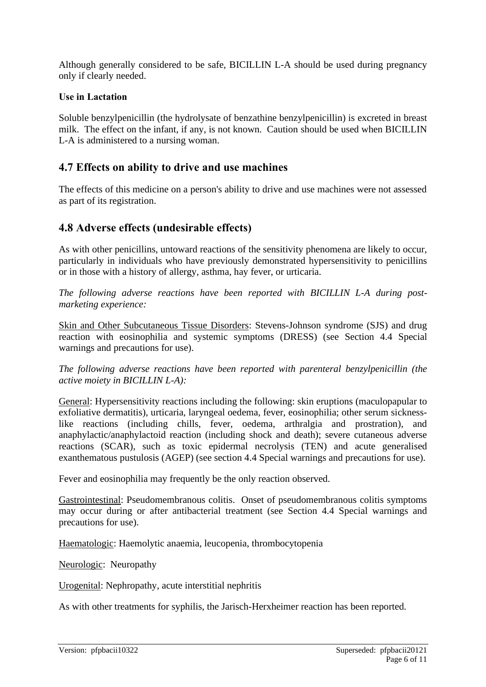Although generally considered to be safe, BICILLIN L-A should be used during pregnancy only if clearly needed.

#### **Use in Lactation**

Soluble benzylpenicillin (the hydrolysate of benzathine benzylpenicillin) is excreted in breast milk. The effect on the infant, if any, is not known. Caution should be used when BICILLIN L-A is administered to a nursing woman.

# **4.7 Effects on ability to drive and use machines**

The effects of this medicine on a person's ability to drive and use machines were not assessed as part of its registration.

# **4.8 Adverse effects (undesirable effects)**

As with other penicillins, untoward reactions of the sensitivity phenomena are likely to occur, particularly in individuals who have previously demonstrated hypersensitivity to penicillins or in those with a history of allergy, asthma, hay fever, or urticaria.

*The following adverse reactions have been reported with BICILLIN L-A during postmarketing experience:*

Skin and Other Subcutaneous Tissue Disorders: Stevens-Johnson syndrome (SJS) and drug reaction with eosinophilia and systemic symptoms (DRESS) (see Section 4.4 Special warnings and precautions for use).

*The following adverse reactions have been reported with parenteral benzylpenicillin (the active moiety in BICILLIN L-A):*

General: Hypersensitivity reactions including the following: skin eruptions (maculopapular to exfoliative dermatitis), urticaria, laryngeal oedema, fever, eosinophilia; other serum sicknesslike reactions (including chills, fever, oedema, arthralgia and prostration), and anaphylactic/anaphylactoid reaction (including shock and death); severe cutaneous adverse reactions (SCAR), such as toxic epidermal necrolysis (TEN) and acute generalised exanthematous pustulosis (AGEP) (see section 4.4 Special warnings and precautions for use).

Fever and eosinophilia may frequently be the only reaction observed.

Gastrointestinal: Pseudomembranous colitis. Onset of pseudomembranous colitis symptoms may occur during or after antibacterial treatment (see Section 4.4 Special warnings and precautions for use).

Haematologic: Haemolytic anaemia, leucopenia, thrombocytopenia

Neurologic: Neuropathy

Urogenital: Nephropathy, acute interstitial nephritis

As with other treatments for syphilis, the Jarisch-Herxheimer reaction has been reported.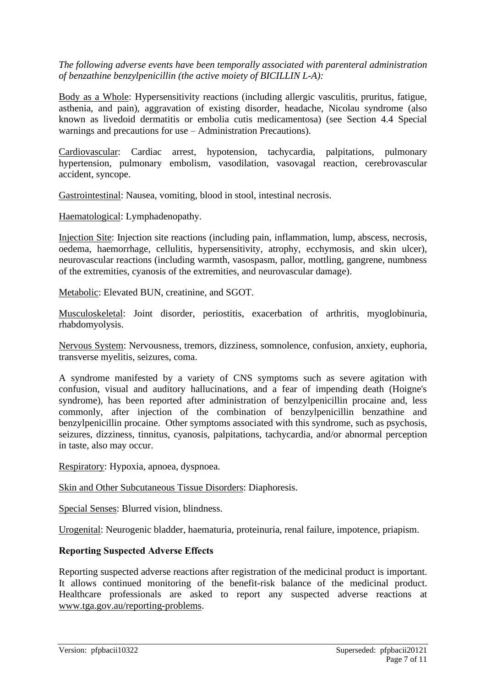*The following adverse events have been temporally associated with parenteral administration of benzathine benzylpenicillin (the active moiety of BICILLIN L-A):*

Body as a Whole: Hypersensitivity reactions (including allergic vasculitis, pruritus, fatigue, asthenia, and pain), aggravation of existing disorder, headache, Nicolau syndrome (also known as livedoid dermatitis or embolia cutis medicamentosa) (see Section 4.4 Special warnings and precautions for use – Administration Precautions).

Cardiovascular: Cardiac arrest, hypotension, tachycardia, palpitations, pulmonary hypertension, pulmonary embolism, vasodilation, vasovagal reaction, cerebrovascular accident, syncope.

Gastrointestinal: Nausea, vomiting, blood in stool, intestinal necrosis.

Haematological: Lymphadenopathy.

Injection Site: Injection site reactions (including pain, inflammation, lump, abscess, necrosis, oedema, haemorrhage, cellulitis, hypersensitivity, atrophy, ecchymosis, and skin ulcer), neurovascular reactions (including warmth, vasospasm, pallor, mottling, gangrene, numbness of the extremities, cyanosis of the extremities, and neurovascular damage).

Metabolic: Elevated BUN, creatinine, and SGOT.

Musculoskeletal: Joint disorder, periostitis, exacerbation of arthritis, myoglobinuria, rhabdomyolysis.

Nervous System: Nervousness, tremors, dizziness, somnolence, confusion, anxiety, euphoria, transverse myelitis, seizures, coma.

A syndrome manifested by a variety of CNS symptoms such as severe agitation with confusion, visual and auditory hallucinations, and a fear of impending death (Hoigne's syndrome), has been reported after administration of benzylpenicillin procaine and, less commonly, after injection of the combination of benzylpenicillin benzathine and benzylpenicillin procaine. Other symptoms associated with this syndrome, such as psychosis, seizures, dizziness, tinnitus, cyanosis, palpitations, tachycardia, and/or abnormal perception in taste, also may occur.

Respiratory: Hypoxia, apnoea, dyspnoea.

Skin and Other Subcutaneous Tissue Disorders: Diaphoresis.

Special Senses: Blurred vision, blindness.

Urogenital: Neurogenic bladder, haematuria, proteinuria, renal failure, impotence, priapism.

#### **Reporting Suspected Adverse Effects**

Reporting suspected adverse reactions after registration of the medicinal product is important. It allows continued monitoring of the benefit-risk balance of the medicinal product. Healthcare professionals are asked to report any suspected adverse reactions at [www.tga.gov.au/reporting-problems.](http://www.tga.gov.au/reporting-problems)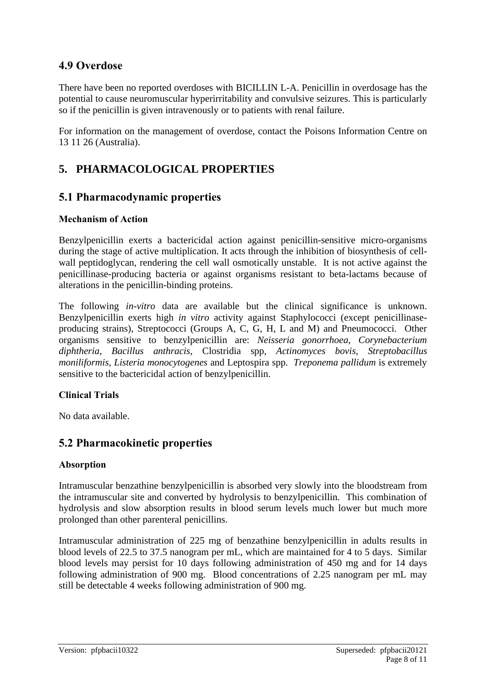# **4.9 Overdose**

There have been no reported overdoses with BICILLIN L-A. Penicillin in overdosage has the potential to cause neuromuscular hyperirritability and convulsive seizures. This is particularly so if the penicillin is given intravenously or to patients with renal failure.

For information on the management of overdose, contact the Poisons Information Centre on 13 11 26 (Australia).

# **5. PHARMACOLOGICAL PROPERTIES**

# **5.1 Pharmacodynamic properties**

#### **Mechanism of Action**

Benzylpenicillin exerts a bactericidal action against penicillin-sensitive micro-organisms during the stage of active multiplication. It acts through the inhibition of biosynthesis of cellwall peptidoglycan, rendering the cell wall osmotically unstable. It is not active against the penicillinase-producing bacteria or against organisms resistant to beta-lactams because of alterations in the penicillin-binding proteins.

The following *in-vitro* data are available but the clinical significance is unknown. Benzylpenicillin exerts high *in vitro* activity against Staphylococci (except penicillinaseproducing strains), Streptococci (Groups A, C, G, H, L and M) and Pneumococci. Other organisms sensitive to benzylpenicillin are: *Neisseria gonorrhoea*, *Corynebacterium diphtheria*, *Bacillus anthracis*, Clostridia spp, *Actinomyces bovis*, *Streptobacillus moniliformis*, *Listeria monocytogenes* and Leptospira spp. *Treponema pallidum* is extremely sensitive to the bactericidal action of benzylpenicillin.

### **Clinical Trials**

No data available.

# **5.2 Pharmacokinetic properties**

#### **Absorption**

Intramuscular benzathine benzylpenicillin is absorbed very slowly into the bloodstream from the intramuscular site and converted by hydrolysis to benzylpenicillin. This combination of hydrolysis and slow absorption results in blood serum levels much lower but much more prolonged than other parenteral penicillins.

Intramuscular administration of 225 mg of benzathine benzylpenicillin in adults results in blood levels of 22.5 to 37.5 nanogram per mL, which are maintained for 4 to 5 days. Similar blood levels may persist for 10 days following administration of 450 mg and for 14 days following administration of 900 mg. Blood concentrations of 2.25 nanogram per mL may still be detectable 4 weeks following administration of 900 mg.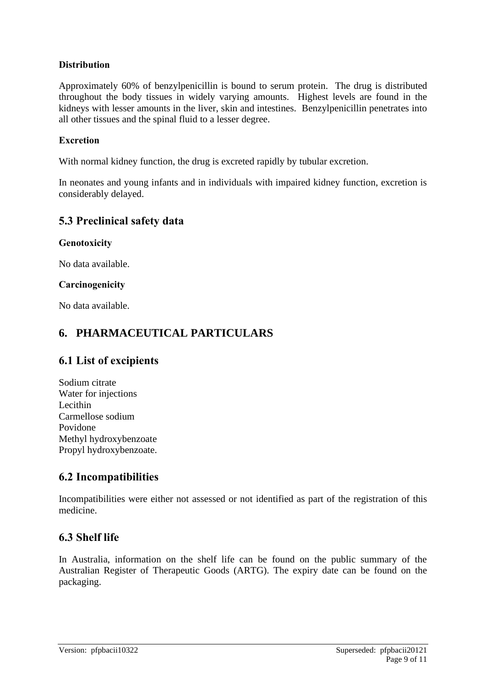### **Distribution**

Approximately 60% of benzylpenicillin is bound to serum protein. The drug is distributed throughout the body tissues in widely varying amounts. Highest levels are found in the kidneys with lesser amounts in the liver, skin and intestines. Benzylpenicillin penetrates into all other tissues and the spinal fluid to a lesser degree.

### **Excretion**

With normal kidney function, the drug is excreted rapidly by tubular excretion.

In neonates and young infants and in individuals with impaired kidney function, excretion is considerably delayed.

# **5.3 Preclinical safety data**

#### **Genotoxicity**

No data available.

#### **Carcinogenicity**

No data available.

# **6. PHARMACEUTICAL PARTICULARS**

# **6.1 List of excipients**

Sodium citrate Water for injections Lecithin Carmellose sodium Povidone Methyl hydroxybenzoate Propyl hydroxybenzoate.

# **6.2 Incompatibilities**

Incompatibilities were either not assessed or not identified as part of the registration of this medicine.

# **6.3 Shelf life**

In Australia, information on the shelf life can be found on the public summary of the Australian Register of Therapeutic Goods (ARTG). The expiry date can be found on the packaging.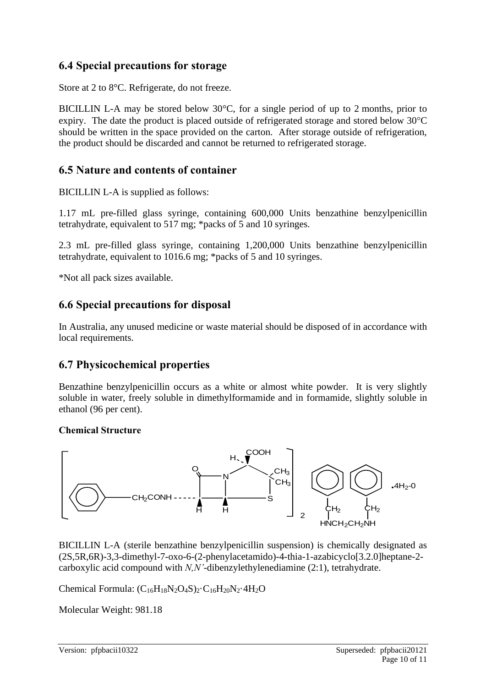# **6.4 Special precautions for storage**

Store at 2 to 8°C. Refrigerate, do not freeze.

BICILLIN L-A may be stored below 30°C, for a single period of up to 2 months, prior to expiry. The date the product is placed outside of refrigerated storage and stored below  $30^{\circ}$ C should be written in the space provided on the carton. After storage outside of refrigeration, the product should be discarded and cannot be returned to refrigerated storage.

# **6.5 Nature and contents of container**

BICILLIN L-A is supplied as follows:

1.17 mL pre-filled glass syringe, containing 600,000 Units benzathine benzylpenicillin tetrahydrate, equivalent to 517 mg; \*packs of 5 and 10 syringes.

2.3 mL pre-filled glass syringe, containing 1,200,000 Units benzathine benzylpenicillin tetrahydrate, equivalent to 1016.6 mg; \*packs of 5 and 10 syringes.

\*Not all pack sizes available.

# **6.6 Special precautions for disposal**

In Australia, any unused medicine or waste material should be disposed of in accordance with local requirements.

# **6.7 Physicochemical properties**

Benzathine benzylpenicillin occurs as a white or almost white powder. It is very slightly soluble in water, freely soluble in dimethylformamide and in formamide, slightly soluble in ethanol (96 per cent).

### **Chemical Structure**



BICILLIN L-A (sterile benzathine benzylpenicillin suspension) is chemically designated as (2S,5R,6R)-3,3-dimethyl-7-oxo-6-(2-phenylacetamido)-4-thia-1-azabicyclo[3.2.0]heptane-2 carboxylic acid compound with *N,N'*-dibenzylethylenediamine (2:1), tetrahydrate.

Chemical Formula:  $(C_{16}H_{18}N_2O_4S)_2 \cdot C_{16}H_{20}N_2 \cdot 4H_2O$ 

Molecular Weight: 981.18